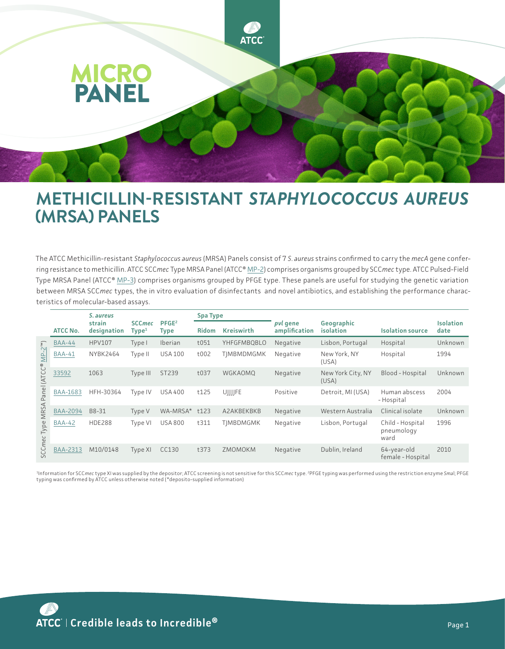

## **METHICILLIN-RESISTANT** *STAPHYLOCOCCUS AUREUS* **(MRSA) PANELS**

The ATCC Methicillin-resistant *Staphylococcus aureus* (MRSA) Panels consist of 7 *S*. *aureus* strains confirmed to carry the *mecA* gene conferring resistance to methicillin. ATCC SCC*mec* Type MRSA Panel (ATCC® [MP-2\)](https://www.atcc.org/products/mp-2) comprises organisms grouped by SCC*mec* type. ATCC Pulsed-Field Type MRSA Panel (ATCC® [MP-3\)](https://www.atcc.org/products/mp-3) comprises organisms grouped by PFGE type. These panels are useful for studying the genetic variation between MRSA SCC*mec* types, the in vitro evaluation of disinfectants and novel antibiotics, and establishing the performance characteristics of molecular-based assays.

|                                                                                                                |                 | S. aureus             |                                    |                           | <b>Spa Type</b> |                    |                                  |                            |                                        |                          |
|----------------------------------------------------------------------------------------------------------------|-----------------|-----------------------|------------------------------------|---------------------------|-----------------|--------------------|----------------------------------|----------------------------|----------------------------------------|--------------------------|
|                                                                                                                | <b>ATCC No.</b> | strain<br>designation | <b>SCCmec</b><br>Type <sup>1</sup> | PFGE <sup>2</sup><br>Type | <b>Ridom</b>    | <b>Kreiswirth</b>  | <i>pvl</i> gene<br>amplification | Geographic<br>isolation    | <b>Isolation source</b>                | <b>Isolation</b><br>date |
| $\binom{m}{k}$<br>$\sim$<br>$\frac{p}{\sum}$<br>(ATCC®<br>ane<br>$\mathbf{r}$<br>MRS,<br>Type<br><b>SCCmec</b> | <b>BAA-44</b>   | <b>HPV107</b>         | Type I                             | Iberian                   | t051            | <b>YHFGFMBOBLO</b> | Negative                         | Lisbon, Portugal           | Hospital                               | Unknown                  |
|                                                                                                                | <b>BAA-41</b>   | NYBK2464              | Type II                            | <b>USA 100</b>            | t002            | TIMBMDMGMK         | Negative                         | New York, NY<br>(USA)      | Hospital                               | 1994                     |
|                                                                                                                | 33592           | 1063                  | Type III                           | ST239                     | t037            | <b>WGKAOMO</b>     | Negative                         | New York City, NY<br>(USA) | Blood - Hospital                       | Unknown                  |
|                                                                                                                | <b>BAA-1683</b> | HFH-30364             | Type IV                            | <b>USA 400</b>            | t125            | UJJJJFE            | Positive                         | Detroit, MI (USA)          | Human abscess<br>- Hospital            | 2004                     |
|                                                                                                                | <b>BAA-2094</b> | B8-31                 | Type V                             | WA-MRSA*                  | t123            | A2AKBEKBKB         | Negative                         | Western Australia          | Clinical isolate                       | Unknown                  |
|                                                                                                                | <b>BAA-42</b>   | <b>HDE288</b>         | Type VI                            | <b>USA 800</b>            | t311            | <b>TIMBDMGMK</b>   | Negative                         | Lisbon, Portugal           | Child - Hospital<br>pneumology<br>ward | 1996                     |
|                                                                                                                | <b>BAA-2313</b> | M10/0148              | Type XI                            | CC130                     | t373            | ZMOMOKM            | Negative                         | Dublin, Ireland            | 64-year-old<br>female - Hospital       | 2010                     |

<sup>1</sup>Information for SCC*mec* type XI was supplied by the depositor; ATCC screening is not sensitive for this SCC*mec* type. <sup>2</sup>PFGE typing was performed using the restriction enzyme S*ma*l; PFGE<br>typing was confirmed by ATCC